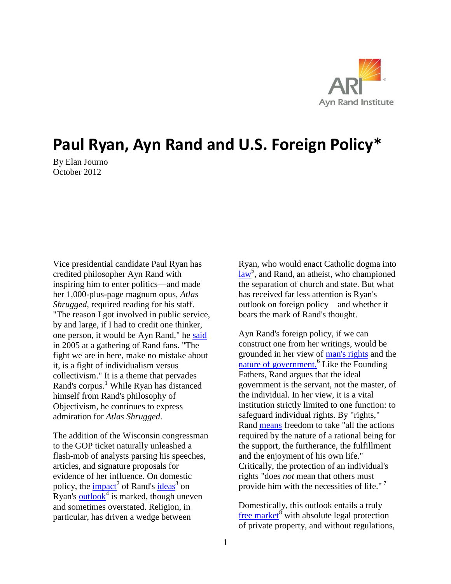

## **Paul Ryan, Ayn Rand and U.S. Foreign Policy\***

By Elan Journo October 2012

Vice presidential candidate Paul Ryan has credited philosopher Ayn Rand with inspiring him to enter politics—and made her 1,000-plus-page magnum opus, *Atlas Shrugged*, required reading for his staff. "The reason I got involved in public service, by and large, if I had to credit one thinker, one person, it would be Ayn Rand," he [said](http://www.newyorker.com/reporting/2012/08/06/120806fa_fact_lizza#ixzz24lX7Q8jX) in 2005 at a gathering of Rand fans. "The fight we are in here, make no mistake about it, is a fight of individualism versus collectivism." It is a theme that pervades Rand's corpus. <sup>1</sup> While Ryan has distanced himself from Rand's philosophy of Objectivism, he continues to express admiration for *Atlas Shrugged*.

The addition of the Wisconsin congressman to the GOP ticket naturally unleashed a flash-mob of analysts parsing his speeches, articles, and signature proposals for evidence of her influence. On domestic policy, the  $\frac{impact^2}{1}$  of Rand's  $\frac{ideas^3}{1}$  $\frac{ideas^3}{1}$  $\frac{ideas^3}{1}$  on Ryan's [outlook](http://www.csmonitor.com/Commentary/Opinion/2012/0821/Why-Paul-Ryan-is-no-Ayn-Rand-on-Social-Security)<sup>4</sup> is marked, though uneven and sometimes overstated. Religion, in particular, has driven a wedge between

Ryan, who would enact Catholic dogma into  $\frac{law^5}{day^5}$  $\frac{law^5}{day^5}$  $\frac{law^5}{day^5}$ , and Rand, an atheist, who championed the separation of church and state. But what has received far less attention is Ryan's outlook on foreign policy—and whether it bears the mark of Rand's thought.

Ayn Rand's foreign policy, if we can construct one from her writings, would be grounded in her view of [man's rights](http://www.aynrand.org/site/PageServer?pagename=arc_ayn_rand_man_rights) and the [nature of government.](http://www.aynrand.org/site/PageServer?pagename=arc_ayn_rand_the_nature_of_government)<sup>6</sup> Like the Founding Fathers, Rand argues that the ideal government is the servant, not the master, of the individual. In her view, it is a vital institution strictly limited to one function: to safeguard individual rights. By "rights," Rand [means](http://www.aynrand.org/site/PageServer?pagename=arc_ayn_rand_man_rights) freedom to take "all the actions required by the nature of a rational being for the support, the furtherance, the fulfillment and the enjoyment of his own life." Critically, the protection of an individual's rights "does *not* mean that others must provide him with the necessities of life."<sup>7</sup>

Domestically, this outlook entails a truly [free market](http://aynrandlexicon.com/lexicon/capitalism.html)<sup>8</sup> with absolute legal protection of private property, and without regulations,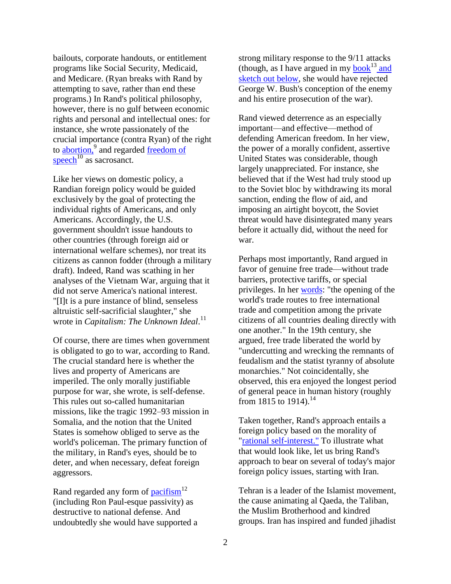bailouts, corporate handouts, or entitlement programs like Social Security, Medicaid, and Medicare. (Ryan breaks with Rand by attempting to save, rather than end these programs.) In Rand's political philosophy, however, there is no gulf between economic rights and personal and intellectual ones: for instance, she wrote passionately of the crucial importance (contra Ryan) of the right to **abortion**,<sup>9</sup> and regarded <u>freedom of</u> [speech](http://aynrandlexicon.com/lexicon/free_speech.html) $^{10}$  as sacrosanct.

Like her views on domestic policy, a Randian foreign policy would be guided exclusively by the goal of protecting the individual rights of Americans, and only Americans. Accordingly, the U.S. government shouldn't issue handouts to other countries (through foreign aid or international welfare schemes), nor treat its citizens as cannon fodder (through a military draft). Indeed, Rand was scathing in her analyses of the Vietnam War, arguing that it did not serve America's national interest. "[I]t is a pure instance of blind, senseless altruistic self-sacrificial slaughter," she wrote in *Capitalism: The Unknown Ideal*. 11

Of course, there are times when government is obligated to go to war, according to Rand. The crucial standard here is whether the lives and property of Americans are imperiled. The only morally justifiable purpose for war, she wrote, is self-defense. This rules out so-called humanitarian missions, like the tragic 1992–93 mission in Somalia, and the notion that the United States is somehow obliged to serve as the world's policeman. The primary function of the military, in Rand's eyes, should be to deter, and when necessary, defeat foreign aggressors.

Rand regarded any form of  $\text{pacifism}^{12}$ (including Ron Paul-esque passivity) as destructive to national defense. And undoubtedly she would have supported a strong military response to the 9/11 attacks (though, as I have argued in my [book](http://www.amazon.com/dp/B003UERGVY)<sup>13</sup> and sketch out below, she would have rejected George W. Bush's conception of the enemy and his entire prosecution of the war).

Rand viewed deterrence as an especially important—and effective—method of defending American freedom. In her view, the power of a morally confident, assertive United States was considerable, though largely unappreciated. For instance, she believed that if the West had truly stood up to the Soviet bloc by withdrawing its moral sanction, ending the flow of aid, and imposing an airtight boycott, the Soviet threat would have disintegrated many years before it actually did, without the need for war.

Perhaps most importantly, Rand argued in favor of genuine free trade—without trade barriers, protective tariffs, or special privileges. In her [words:](http://aynrandlexicon.com/lexicon/foreign_policy.html#order_2) "the opening of the world's trade routes to free international trade and competition among the private citizens of all countries dealing directly with one another." In the 19th century, she argued, free trade liberated the world by "undercutting and wrecking the remnants of feudalism and the statist tyranny of absolute monarchies." Not coincidentally, she observed, this era enjoyed the longest period of general peace in human history (roughly from 1815 to 1914).<sup>14</sup>

Taken together, Rand's approach entails a foreign policy based on the morality of ["rational self-interest.](http://aynrandlexicon.com/lexicon/selfishness.html)" To illustrate what that would look like, let us bring Rand's approach to bear on several of today's major foreign policy issues, starting with Iran.

Tehran is a leader of the Islamist movement, the cause animating al Qaeda, the Taliban, the Muslim Brotherhood and kindred groups. Iran has inspired and funded jihadist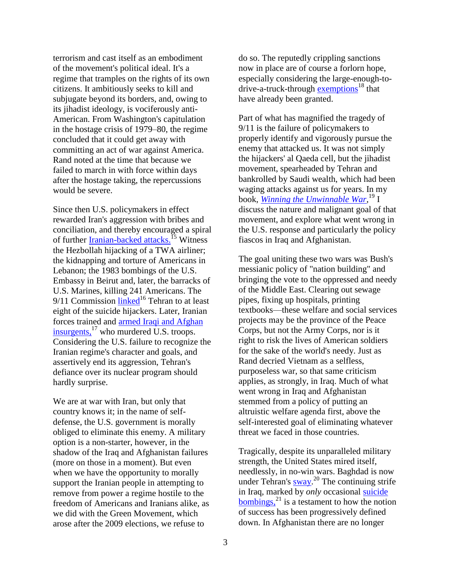terrorism and cast itself as an embodiment of the movement's political ideal. It's a regime that tramples on the rights of its own citizens. It ambitiously seeks to kill and subjugate beyond its borders, and, owing to its jihadist ideology, is vociferously anti-American. From Washington's capitulation in the hostage crisis of 1979–80, the regime concluded that it could get away with committing an act of war against America. Rand noted at the time that because we failed to march in with force within days after the hostage taking, the repercussions would be severe.

Since then U.S. policymakers in effect rewarded Iran's aggression with bribes and conciliation, and thereby encouraged a spiral of further **Iranian-backed attacks**.<sup>15</sup> Witness the Hezbollah hijacking of a TWA airliner; the kidnapping and torture of Americans in Lebanon; the 1983 bombings of the U.S. Embassy in Beirut and, later, the barracks of U.S. Marines, killing 241 Americans. The  $9/11$  Commission [linked](http://www.meforum.org/670/irans-link-to-al-qaeda-the-9-11-commissions)<sup>16</sup> Tehran to at least eight of the suicide hijackers. Later, Iranian forces trained and [armed Iraqi and Afghan](http://www.nytimes.com/2010/10/23/world/middleeast/23iran.html?_r=1)  [insurgents,](http://www.nytimes.com/2010/10/23/world/middleeast/23iran.html?_r=1)<sup>17</sup> who murdered U.S. troops. Considering the U.S. failure to recognize the Iranian regime's character and goals, and assertively end its aggression, Tehran's defiance over its nuclear program should hardly surprise.

We are at war with Iran, but only that country knows it; in the name of selfdefense, the U.S. government is morally obliged to eliminate this enemy. A military option is a non-starter, however, in the shadow of the Iraq and Afghanistan failures (more on those in a moment). But even when we have the opportunity to morally support the Iranian people in attempting to remove from power a regime hostile to the freedom of Americans and Iranians alike, as we did with the Green Movement, which arose after the 2009 elections, we refuse to

do so. The reputedly crippling sanctions now in place are of course a forlorn hope, especially considering the large-enough-todrive-a-truck-through [exemptions](http://online.wsj.com/article/SB10001424052702304211804577502912009234948.html)<sup>18</sup> that have already been granted.

Part of what has magnified the tragedy of 9/11 is the failure of policymakers to properly identify and vigorously pursue the enemy that attacked us. It was not simply the hijackers' al Qaeda cell, but the jihadist movement, spearheaded by Tehran and bankrolled by Saudi wealth, which had been waging attacks against us for years. In my book, *[Winning the Unwinnable War](http://winningtheunwinnablewar.com/)*, <sup>19</sup> I discuss the nature and malignant goal of that movement, and explore what went wrong in the U.S. response and particularly the policy fiascos in Iraq and Afghanistan.

The goal uniting these two wars was Bush's messianic policy of "nation building" and bringing the vote to the oppressed and needy of the Middle East. Clearing out sewage pipes, fixing up hospitals, printing textbooks—these welfare and social services projects may be the province of the Peace Corps, but not the Army Corps, nor is it right to risk the lives of American soldiers for the sake of the world's needy. Just as Rand decried Vietnam as a selfless, purposeless war, so that same criticism applies, as strongly, in Iraq. Much of what went wrong in Iraq and Afghanistan stemmed from a policy of putting an altruistic welfare agenda first, above the self-interested goal of eliminating whatever threat we faced in those countries.

Tragically, despite its unparalleled military strength, the United States mired itself, needlessly, in no-win wars. Baghdad is now under Tehran's [sway.](http://thecable.foreignpolicy.com/posts/2012/03/23/us_struggles_with_iran_for_influence_in_iraq)<sup>20</sup> The continuing strife in Iraq, marked by *only* occasional [suicide](http://www.nytimes.com/2012/08/17/world/middleeast/at-least-39-killed-in-wave-of-attacks-in-iraq.html)  [bombings,](http://www.nytimes.com/2012/08/17/world/middleeast/at-least-39-killed-in-wave-of-attacks-in-iraq.html) $^{21}$  is a testament to how the notion of success has been progressively defined down. In Afghanistan there are no longer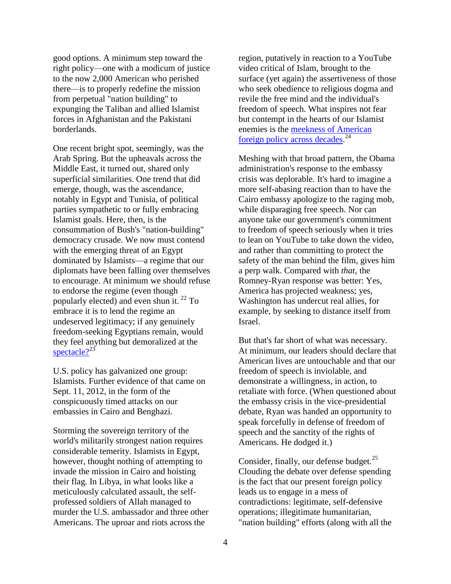good options. A minimum step toward the right policy—one with a modicum of justice to the now 2,000 American who perished there—is to properly redefine the mission from perpetual "nation building" to expunging the Taliban and allied Islamist forces in Afghanistan and the Pakistani borderlands.

One recent bright spot, seemingly, was the Arab Spring. But the upheavals across the Middle East, it turned out, shared only superficial similarities. One trend that did emerge, though, was the ascendance, notably in Egypt and Tunisia, of political parties sympathetic to or fully embracing Islamist goals. Here, then, is the consummation of Bush's "nation-building" democracy crusade. We now must contend with the emerging threat of an Egypt dominated by Islamists—a regime that our diplomats have been falling over themselves to encourage. At minimum we should refuse to endorse the regime (even though popularly elected) and even shun it. <sup>22</sup> To embrace it is to lend the regime an undeserved legitimacy; if any genuinely freedom-seeking Egyptians remain, would they feel anything but demoralized at the [spectacle?](http://www.telegraph.co.uk/news/worldnews/africaandindianocean/egypt/9400749/US-Secretary-of-State-Hillary-Clinton-meets-Egypts-Muslim-Brotherhood-president-Mohammed-Morsi-in-historic-first.html) $2^{23}$ 

U.S. policy has galvanized one group: Islamists. Further evidence of that came on Sept. 11, 2012, in the form of the conspicuously timed attacks on our embassies in Cairo and Benghazi.

Storming the sovereign territory of the world's militarily strongest nation requires considerable temerity. Islamists in Egypt, however, thought nothing of attempting to invade the mission in Cairo and hoisting their flag. In Libya, in what looks like a meticulously calculated assault, the selfprofessed soldiers of Allah managed to murder the U.S. ambassador and three other Americans. The uproar and riots across the

region, putatively in reaction to a YouTube video critical of Islam, brought to the surface (yet again) the assertiveness of those who seek obedience to religious dogma and revile the free mind and the individual's freedom of speech. What inspires not fear but contempt in the hearts of our Islamist enemies is the [meekness of American](http://www.foxnews.com/opinion/2012/09/28/our-self-crippled-policy-encouraged-deadly-embassy-attacks/)  [foreign policy across decades.](http://www.foxnews.com/opinion/2012/09/28/our-self-crippled-policy-encouraged-deadly-embassy-attacks/)<sup>24</sup>

Meshing with that broad pattern, the Obama administration's response to the embassy crisis was deplorable. It's hard to imagine a more self-abasing reaction than to have the Cairo embassy apologize to the raging mob, while disparaging free speech. Nor can anyone take our government's commitment to freedom of speech seriously when it tries to lean on YouTube to take down the video, and rather than committing to protect the safety of the man behind the film, gives him a perp walk. Compared with *that*, the Romney-Ryan response was better: Yes, America has projected weakness; yes, Washington has undercut real allies, for example, by seeking to distance itself from Israel.

But that's far short of what was necessary. At minimum, our leaders should declare that American lives are untouchable and that our freedom of speech is inviolable, and demonstrate a willingness, in action, to retaliate with force. (When questioned about the embassy crisis in the vice-presidential debate, Ryan was handed an opportunity to speak forcefully in defense of freedom of speech and the sanctity of the rights of Americans. He dodged it.)

Consider, finally, our defense budget.<sup>25</sup> Clouding the debate over defense spending is the fact that our present foreign policy leads us to engage in a mess of contradictions: legitimate, self-defensive operations; illegitimate humanitarian, "nation building" efforts (along with all the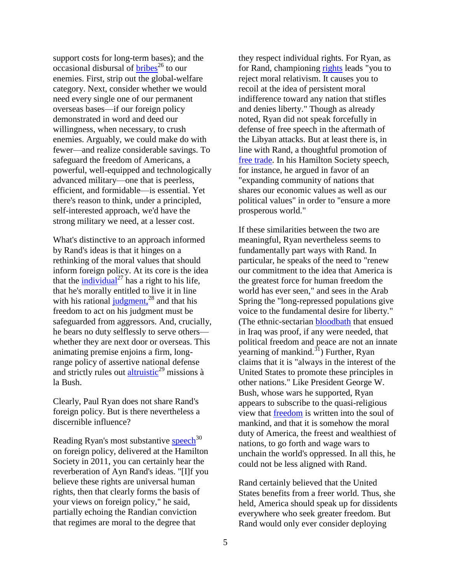support costs for long-term bases); and the occasional disbursal of  $bribes^{26}$  to our enemies. First, strip out the global-welfare category. Next, consider whether we would need every single one of our permanent overseas bases—if our foreign policy demonstrated in word and deed our willingness, when necessary, to crush enemies. Arguably, we could make do with fewer—and realize considerable savings. To safeguard the freedom of Americans, a powerful, well-equipped and technologically advanced military—one that is peerless, efficient, and formidable—is essential. Yet there's reason to think, under a principled, self-interested approach, we'd have the strong military we need, at a lesser cost.

What's distinctive to an approach informed by Rand's ideas is that it hinges on a rethinking of the moral values that should inform foreign policy. At its core is the idea that the  $\text{individual}^{27}$  has a right to his life, that he's morally entitled to live it in line with his rational  $\frac{1}{10}$  [judgment,](http://aynrandlexicon.com/lexicon/independence.html)<sup>28</sup> and that his freedom to act on his judgment must be safeguarded from aggressors. And, crucially, he bears no duty selflessly to serve others whether they are next door or overseas. This animating premise enjoins a firm, longrange policy of assertive national defense and strictly rules out [altruistic](http://aynrandlexicon.com/lexicon/altruism.html)<sup>29</sup> missions  $\hat{a}$ la Bush.

Clearly, Paul Ryan does not share Rand's foreign policy. But is there nevertheless a discernible influence?

Reading Ryan's most substantive [speech](http://budget.house.gov/news/documentsingle.aspx?DocumentID=244386) $30$ on foreign policy, delivered at the Hamilton Society in 2011, you can certainly hear the reverberation of Ayn Rand's ideas. "[I]f you believe these rights are universal human rights, then that clearly forms the basis of your views on foreign policy," he said, partially echoing the Randian conviction that regimes are moral to the degree that

they respect individual rights. For Ryan, as for Rand, championing [rights](http://budget.house.gov/news/documentsingle.aspx?DocumentID=244386) leads "you to reject moral relativism. It causes you to recoil at the idea of persistent moral indifference toward any nation that stifles and denies liberty." Though as already noted, Ryan did not speak forcefully in defense of free speech in the aftermath of the Libyan attacks. But at least there is, in line with Rand, a thoughtful promotion of [free trade.](http://budget.house.gov/news/documentsingle.aspx?DocumentID=244386) In his Hamilton Society speech, for instance, he argued in favor of an "expanding community of nations that shares our economic values as well as our political values" in order to "ensure a more prosperous world."

If these similarities between the two are meaningful, Ryan nevertheless seems to fundamentally part ways with Rand. In particular, he speaks of the need to "renew our commitment to the idea that America is the greatest force for human freedom the world has ever seen," and sees in the Arab Spring the "long-repressed populations give voice to the fundamental desire for liberty." (The ethnic-sectarian [bloodbath](http://www.nytimes.com/2007/06/02/world/middleeast/02iraq.html) that ensued in Iraq was proof, if any were needed, that political freedom and peace are not an innate yearning of mankind. $31$ ) Further, Ryan claims that it is "always in the interest of the United States to promote these principles in other nations." Like President George W. Bush, whose wars he supported, Ryan appears to subscribe to the quasi-religious view that [freedom](http://www.un.org/webcast/ga/59/statements/usaeng040921.pdf) is written into the soul of mankind, and that it is somehow the moral duty of America, the freest and wealthiest of nations, to go forth and wage wars to unchain the world's oppressed. In all this, he could not be less aligned with Rand.

Rand certainly believed that the United States benefits from a freer world. Thus, she held, America should speak up for dissidents everywhere who seek greater freedom. But Rand would only ever consider deploying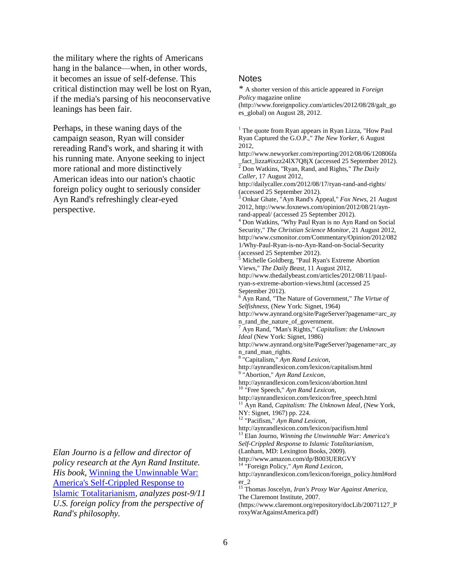the military where the rights of Americans hang in the balance—when, in other words, it becomes an issue of self-defense. This critical distinction may well be lost on Ryan, if the media's parsing of his neoconservative leanings has been fair.

Perhaps, in these waning days of the campaign season, Ryan will consider rereading Rand's work, and sharing it with his running mate. Anyone seeking to inject more rational and more distinctively American ideas into our nation's chaotic foreign policy ought to seriously consider Ayn Rand's refreshingly clear-eyed perspective.

*Elan Journo is a fellow and director of policy research at the Ayn Rand Institute. His book,* [Winning the Unwinnable War:](http://amzn.com/B003UERGVY)  [America's Self-Crippled Response to](http://amzn.com/B003UERGVY)  [Islamic Totalitarianism](http://amzn.com/B003UERGVY)*, analyzes post-9/11 U.S. foreign policy from the perspective of Rand's philosophy.* 

## **Notes**

*\** A shorter version of this article appeared in *Foreign Policy* magazine online (http://www.foreignpolicy.com/articles/2012/08/28/galt\_go es\_global) on August 28, 2012.

 $1$  The quote from Ryan appears in Ryan Lizza, "How Paul Ryan Captured the G.O.P.," *The New Yorker*, 6 August 2012,

http://www.newyorker.com/reporting/2012/08/06/120806fa \_fact\_lizza#ixzz24lX7Q8jX (accessed 25 September 2012). <sup>2</sup> Don Watkins, "Ryan, Rand, and Rights," *The Daily Caller*, 17 August 2012,

http://dailycaller.com/2012/08/17/ryan-rand-and-rights/ (accessed 25 September 2012).

<sup>3</sup> Onkar Ghate, "Ayn Rand's Appeal," *Fox News*, 21 August 2012, http://www.foxnews.com/opinion/2012/08/21/aynrand-appeal/ (accessed 25 September 2012).

<sup>4</sup> Don Watkins, "Why Paul Ryan is no Ayn Rand on Social Security," *The Christian Science Monitor*, 21 August 2012, http://www.csmonitor.com/Commentary/Opinion/2012/082 1/Why-Paul-Ryan-is-no-Ayn-Rand-on-Social-Security (accessed 25 September 2012).

<sup>5</sup> Michelle Goldberg, "Paul Ryan's Extreme Abortion Views," *The Daily Beast*, 11 August 2012, http://www.thedailybeast.com/articles/2012/08/11/paulryan-s-extreme-abortion-views.html (accessed 25

September 2012).

<sup>6</sup> Ayn Rand, "The Nature of Government," *The Virtue of Selfishness,* (New York: Signet*,* 1964)

http://www.aynrand.org/site/PageServer?pagename=arc\_ay n rand the nature of government.

<sup>7</sup> Ayn Rand, "Man's Rights," *Capitalism: the Unknown Ideal* (New York: Signet, 1986)

http://www.aynrand.org/site/PageServer?pagename=arc\_ay n\_rand\_man\_rights.

8 "Capitalism," *Ayn Rand Lexicon*,

http://aynrandlexicon.com/lexicon/capitalism.html

9 "Abortion," *Ayn Rand Lexicon*,

http://aynrandlexicon.com/lexicon/abortion.html "Free Speech," Ayn Rand Lexicon,

http://aynrandlexicon.com/lexicon/free\_speech.html

<sup>11</sup> Ayn Rand, *Capitalism: The Unknown Ideal*, (New York, NY: Signet, 1967) pp. 224.

<sup>12</sup> "Pacifism," *Ayn Rand Lexicon*,

http://aynrandlexicon.com/lexicon/pacifism.html

<sup>13</sup> Elan Journo, *Winning the Unwinnable War: America's* 

*Self-Crippled Response to Islamic Totalitarianism*,

(Lanham, MD: Lexington Books, 2009).

http://www.amazon.com/dp/B003UERGVY

<sup>14</sup> "Foreign Policy," *Ayn Rand Lexicon*,

http://aynrandlexicon.com/lexicon/foreign\_policy.html#ord er\_2

<sup>15</sup> Thomas Joscelyn, *Iran's Proxy War Against America*, The Claremont Institute, 2007.

(https://www.claremont.org/repository/docLib/20071127\_P roxyWarAgainstAmerica.pdf)